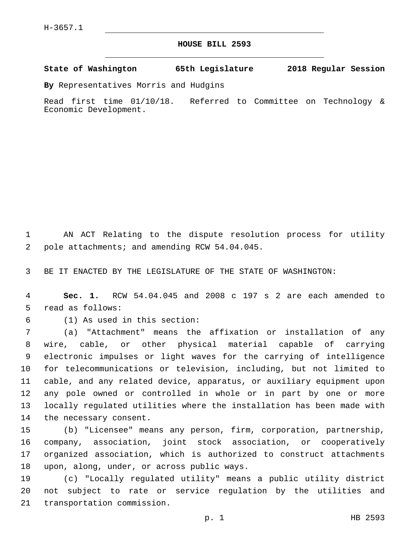## **HOUSE BILL 2593**

**State of Washington 65th Legislature 2018 Regular Session**

**By** Representatives Morris and Hudgins

Read first time 01/10/18. Referred to Committee on Technology & Economic Development.

1 AN ACT Relating to the dispute resolution process for utility 2 pole attachments; and amending RCW 54.04.045.

3 BE IT ENACTED BY THE LEGISLATURE OF THE STATE OF WASHINGTON:

4 **Sec. 1.** RCW 54.04.045 and 2008 c 197 s 2 are each amended to 5 read as follows:

(1) As used in this section:6

 (a) "Attachment" means the affixation or installation of any wire, cable, or other physical material capable of carrying electronic impulses or light waves for the carrying of intelligence for telecommunications or television, including, but not limited to cable, and any related device, apparatus, or auxiliary equipment upon any pole owned or controlled in whole or in part by one or more locally regulated utilities where the installation has been made with 14 the necessary consent.

 (b) "Licensee" means any person, firm, corporation, partnership, company, association, joint stock association, or cooperatively organized association, which is authorized to construct attachments 18 upon, along, under, or across public ways.

19 (c) "Locally regulated utility" means a public utility district 20 not subject to rate or service regulation by the utilities and 21 transportation commission.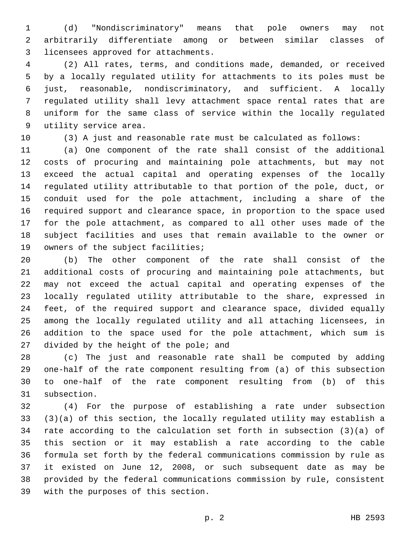(d) "Nondiscriminatory" means that pole owners may not arbitrarily differentiate among or between similar classes of 3 licensees approved for attachments.

 (2) All rates, terms, and conditions made, demanded, or received by a locally regulated utility for attachments to its poles must be just, reasonable, nondiscriminatory, and sufficient. A locally regulated utility shall levy attachment space rental rates that are uniform for the same class of service within the locally regulated 9 utility service area.

(3) A just and reasonable rate must be calculated as follows:

 (a) One component of the rate shall consist of the additional costs of procuring and maintaining pole attachments, but may not exceed the actual capital and operating expenses of the locally regulated utility attributable to that portion of the pole, duct, or conduit used for the pole attachment, including a share of the required support and clearance space, in proportion to the space used for the pole attachment, as compared to all other uses made of the subject facilities and uses that remain available to the owner or 19 owners of the subject facilities;

 (b) The other component of the rate shall consist of the additional costs of procuring and maintaining pole attachments, but may not exceed the actual capital and operating expenses of the locally regulated utility attributable to the share, expressed in feet, of the required support and clearance space, divided equally among the locally regulated utility and all attaching licensees, in addition to the space used for the pole attachment, which sum is 27 divided by the height of the pole; and

 (c) The just and reasonable rate shall be computed by adding one-half of the rate component resulting from (a) of this subsection to one-half of the rate component resulting from (b) of this 31 subsection.

 (4) For the purpose of establishing a rate under subsection (3)(a) of this section, the locally regulated utility may establish a rate according to the calculation set forth in subsection (3)(a) of this section or it may establish a rate according to the cable formula set forth by the federal communications commission by rule as it existed on June 12, 2008, or such subsequent date as may be provided by the federal communications commission by rule, consistent 39 with the purposes of this section.